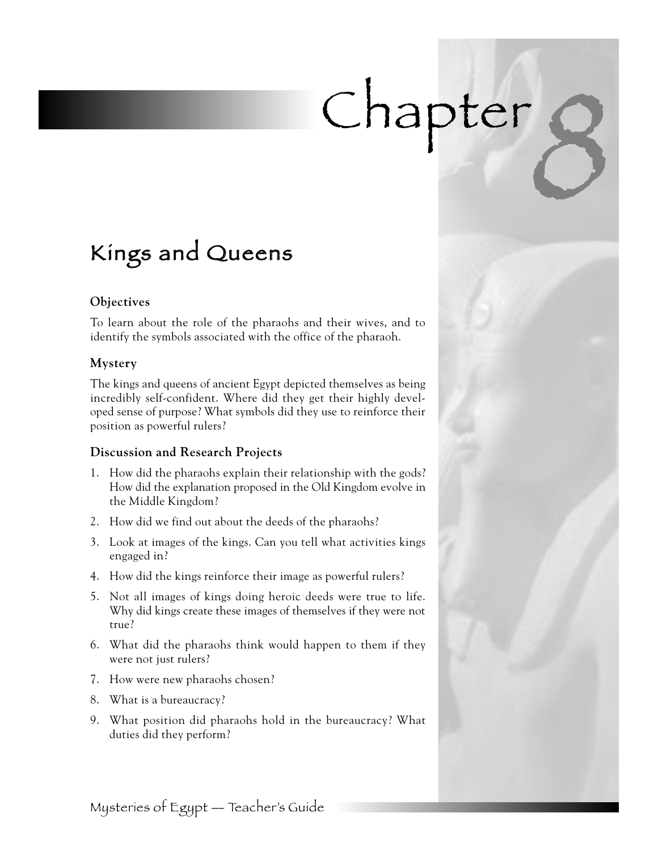# Chapter,

### Kings and Queens

#### **Objectives**

To learn about the role of the pharaohs and their wives, and to identify the symbols associated with the office of the pharaoh.

#### **Mystery**

The kings and queens of ancient Egypt depicted themselves as being incredibly self-confident. Where did they get their highly developed sense of purpose? What symbols did they use to reinforce their position as powerful rulers?

#### **Discussion and Research Projects**

- 1. How did the pharaohs explain their relationship with the gods? How did the explanation proposed in the Old Kingdom evolve in the Middle Kingdom?
- 2. How did we find out about the deeds of the pharaohs?
- 3. Look at images of the kings. Can you tell what activities kings engaged in?
- 4. How did the kings reinforce their image as powerful rulers?
- 5. Not all images of kings doing heroic deeds were true to life. Why did kings create these images of themselves if they were not true?
- 6. What did the pharaohs think would happen to them if they were not just rulers?
- 7. How were new pharaohs chosen?
- 8. What is a bureaucracy?
- 9. What position did pharaohs hold in the bureaucracy? What duties did they perform?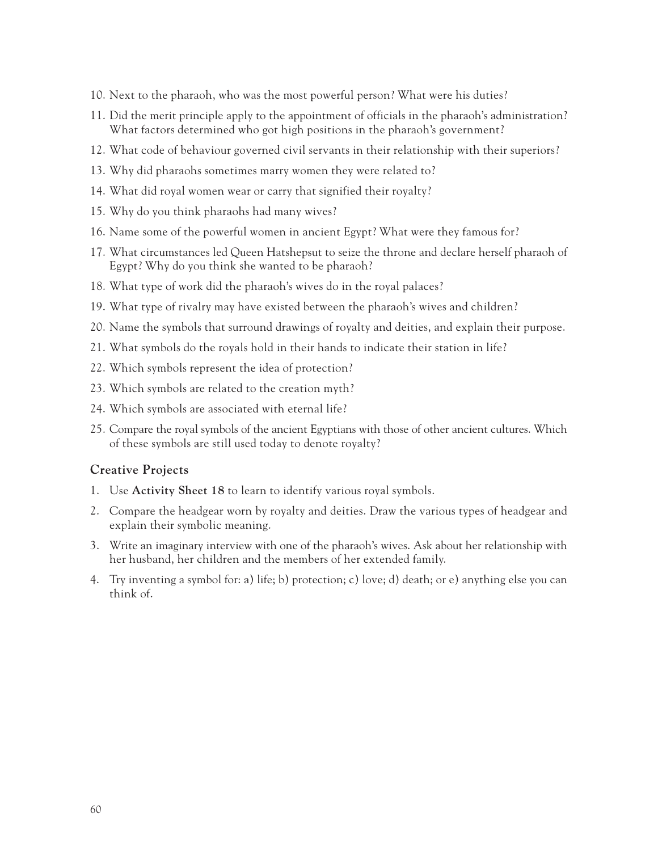- 10. Next to the pharaoh, who was the most powerful person? What were his duties?
- 11. Did the merit principle apply to the appointment of officials in the pharaoh's administration? What factors determined who got high positions in the pharaoh's government?
- 12. What code of behaviour governed civil servants in their relationship with their superiors?
- 13. Why did pharaohs sometimes marry women they were related to?
- 14. What did royal women wear or carry that signified their royalty?
- 15. Why do you think pharaohs had many wives?
- 16. Name some of the powerful women in ancient Egypt? What were they famous for?
- 17. What circumstances led Queen Hatshepsut to seize the throne and declare herself pharaoh of Egypt? Why do you think she wanted to be pharaoh?
- 18. What type of work did the pharaoh's wives do in the royal palaces?
- 19. What type of rivalry may have existed between the pharaoh's wives and children?
- 20. Name the symbols that surround drawings of royalty and deities, and explain their purpose.
- 21. What symbols do the royals hold in their hands to indicate their station in life?
- 22. Which symbols represent the idea of protection?
- 23. Which symbols are related to the creation myth?
- 24. Which symbols are associated with eternal life?
- 25. Compare the royal symbols of the ancient Egyptians with those of other ancient cultures. Which of these symbols are still used today to denote royalty?

#### **Creative Projects**

- 1. Use **Activity Sheet 18** to learn to identify various royal symbols.
- 2. Compare the headgear worn by royalty and deities. Draw the various types of headgear and explain their symbolic meaning.
- 3. Write an imaginary interview with one of the pharaoh's wives. Ask about her relationship with her husband, her children and the members of her extended family.
- 4. Try inventing a symbol for: a) life; b) protection; c) love; d) death; or e) anything else you can think of.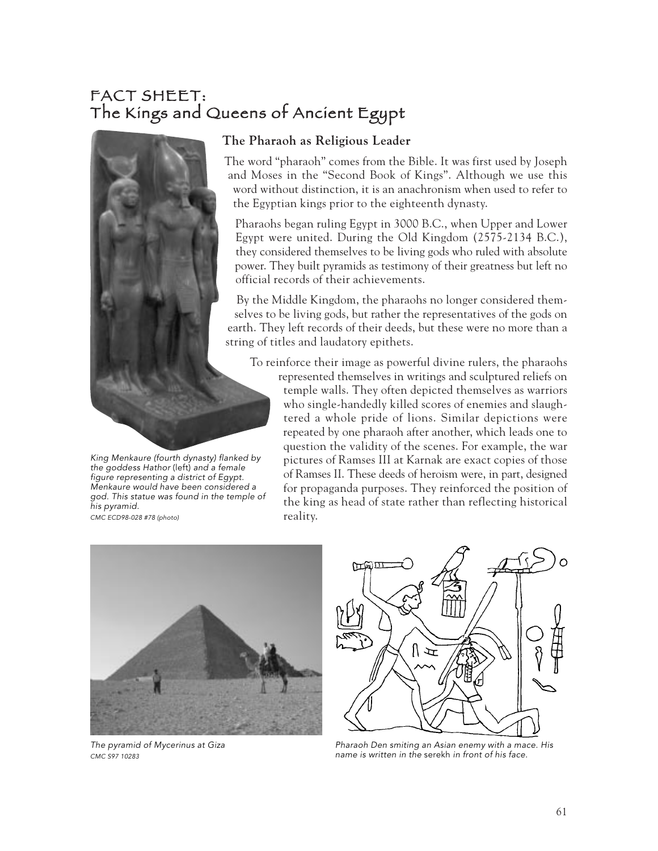#### FACT SHEET: The Kings and Queens of Ancient Egypt



King Menkaure (fourth dynasty) flanked by the goddess Hathor (left) and a female figure representing a district of Egypt. Menkaure would have been considered a god. This statue was found in the temple of his pyramid. CMC ECD98-028 #78 (photo)

#### **The Pharaoh as Religious Leader**

The word "pharaoh" comes from the Bible. It was first used by Joseph and Moses in the "Second Book of Kings". Although we use this word without distinction, it is an anachronism when used to refer to the Egyptian kings prior to the eighteenth dynasty.

Pharaohs began ruling Egypt in 3000 B.C., when Upper and Lower Egypt were united. During the Old Kingdom (2575-2134 B.C.), they considered themselves to be living gods who ruled with absolute power. They built pyramids as testimony of their greatness but left no official records of their achievements.

By the Middle Kingdom, the pharaohs no longer considered themselves to be living gods, but rather the representatives of the gods on earth. They left records of their deeds, but these were no more than a string of titles and laudatory epithets.

To reinforce their image as powerful divine rulers, the pharaohs

represented themselves in writings and sculptured reliefs on temple walls. They often depicted themselves as warriors who single-handedly killed scores of enemies and slaughtered a whole pride of lions. Similar depictions were repeated by one pharaoh after another, which leads one to question the validity of the scenes. For example, the war pictures of Ramses III at Karnak are exact copies of those of Ramses II. These deeds of heroism were, in part, designed for propaganda purposes. They reinforced the position of the king as head of state rather than reflecting historical reality.



The pyramid of Mycerinus at Giza CMC S97 10283



Pharaoh Den smiting an Asian enemy with a mace. His name is written in the serekh in front of his face.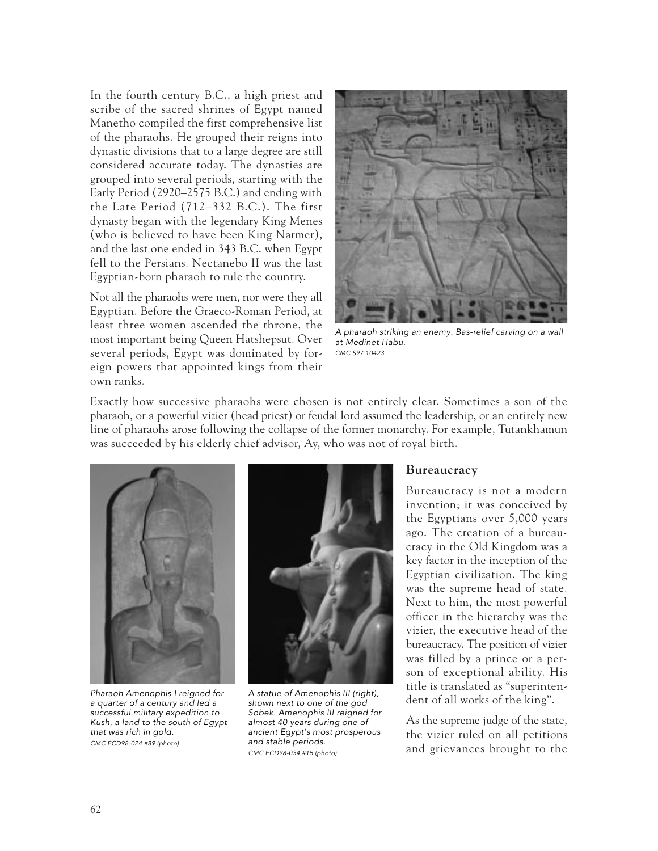In the fourth century B.C., a high priest and scribe of the sacred shrines of Egypt named Manetho compiled the first comprehensive list of the pharaohs. He grouped their reigns into dynastic divisions that to a large degree are still considered accurate today. The dynasties are grouped into several periods, starting with the Early Period (2920–2575 B.C.) and ending with the Late Period (712–332 B.C.). The first dynasty began with the legendary King Menes (who is believed to have been King Narmer), and the last one ended in 343 B.C. when Egypt fell to the Persians. Nectanebo II was the last Egyptian-born pharaoh to rule the country.

Not all the pharaohs were men, nor were they all Egyptian. Before the Graeco-Roman Period, at least three women ascended the throne, the most important being Queen Hatshepsut. Over several periods, Egypt was dominated by foreign powers that appointed kings from their own ranks.



A pharaoh striking an enemy. Bas-relief carving on a wall at Medinet Habu. CMC S97 10423

Exactly how successive pharaohs were chosen is not entirely clear. Sometimes a son of the pharaoh, or a powerful vizier (head priest) or feudal lord assumed the leadership, or an entirely new line of pharaohs arose following the collapse of the former monarchy. For example, Tutankhamun was succeeded by his elderly chief advisor, Ay, who was not of royal birth.



Pharaoh Amenophis I reigned for <sup>a</sup> quarter of a century and led a successful military expedition to Kush, a land to the south of Egypt that was rich in gold. CMC ECD98-024 #89 (photo)



A statue of Amenophis III (right), shown next to one of the god Sobek. Amenophis III reigned for almost 40 years during one of ancient Egypt's most prosperous and stable periods. CMC ECD98-034 #15 (photo)

#### **Bureaucracy**

Bureaucracy is not a modern invention; it was conceived by the Egyptians over 5,000 years ago. The creation of a bureaucracy in the Old Kingdom was a key factor in the inception of the Egyptian civilization. The king was the supreme head of state. Next to him, the most powerful officer in the hierarchy was the vizier, the executive head of the bureaucracy. The position of vizier was filled by a prince or a person of exceptional ability. His title is translated as "superintendent of all works of the king".

As the supreme judge of the state, the vizier ruled on all petitions and grievances brought to the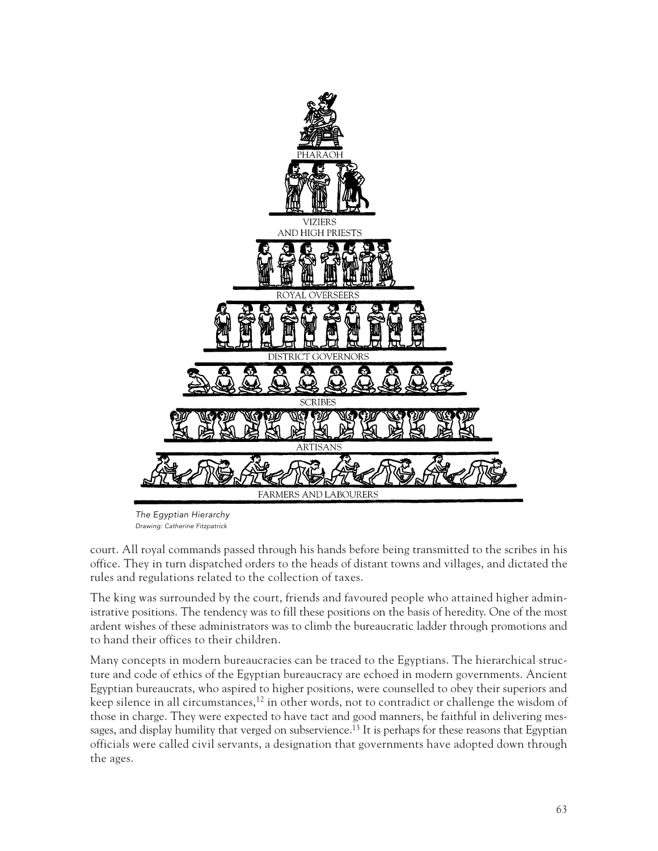

The Egyptian Hierarchy Drawing: Catherine Fitzpatrick

court. All royal commands passed through his hands before being transmitted to the scribes in his office. They in turn dispatched orders to the heads of distant towns and villages, and dictated the rules and regulations related to the collection of taxes.

The king was surrounded by the court, friends and favoured people who attained higher administrative positions. The tendency was to fill these positions on the basis of heredity. One of the most ardent wishes of these administrators was to climb the bureaucratic ladder through promotions and to hand their offices to their children.

Many concepts in modern bureaucracies can be traced to the Egyptians. The hierarchical structure and code of ethics of the Egyptian bureaucracy are echoed in modern governments. Ancient Egyptian bureaucrats, who aspired to higher positions, were counselled to obey their superiors and keep silence in all circumstances, $12$  in other words, not to contradict or challenge the wisdom of those in charge. They were expected to have tact and good manners, be faithful in delivering messages, and display humility that verged on subservience.<sup>13</sup> It is perhaps for these reasons that Egyptian officials were called civil servants, a designation that governments have adopted down through the ages.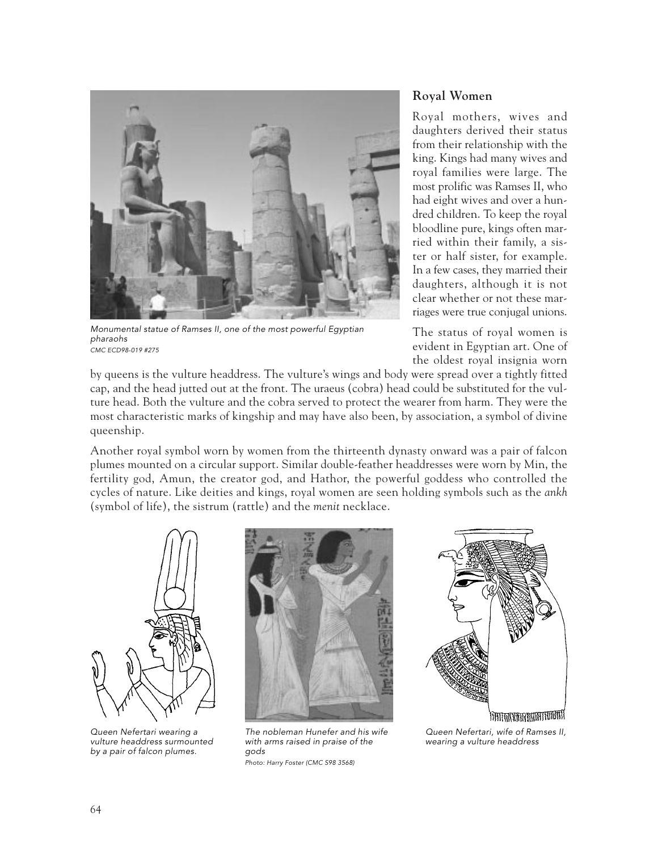

Monumental statue of Ramses II, one of the most powerful Egyptian pharaohs CMC ECD98-019 #275

#### **Royal Women**

Royal mothers, wives and daughters derived their status from their relationship with the king. Kings had many wives and royal families were large. The most prolific was Ramses II, who had eight wives and over a hundred children. To keep the royal bloodline pure, kings often married within their family, a sister or half sister, for example. In a few cases, they married their daughters, although it is not clear whether or not these marriages were true conjugal unions.

The status of royal women is evident in Egyptian art. One of the oldest royal insignia worn

by queens is the vulture headdress. The vulture's wings and body were spread over a tightly fitted cap, and the head jutted out at the front. The uraeus (cobra) head could be substituted for the vulture head. Both the vulture and the cobra served to protect the wearer from harm. They were the most characteristic marks of kingship and may have also been, by association, a symbol of divine queenship.

Another royal symbol worn by women from the thirteenth dynasty onward was a pair of falcon plumes mounted on a circular support. Similar double-feather headdresses were worn by Min, the fertility god, Amun, the creator god, and Hathor, the powerful goddess who controlled the cycles of nature. Like deities and kings, royal women are seen holding symbols such as the *ankh* (symbol of life), the sistrum (rattle) and the *menit* necklace.



Queen Nefertari wearing a vulture headdress surmounted by a pair of falcon plumes.



The nobleman Hunefer and his wife with arms raised in praise of the gods Photo: Harry Foster (CMC S98 3568)



Queen Nefertari, wife of Ramses II, wearing a vulture headdress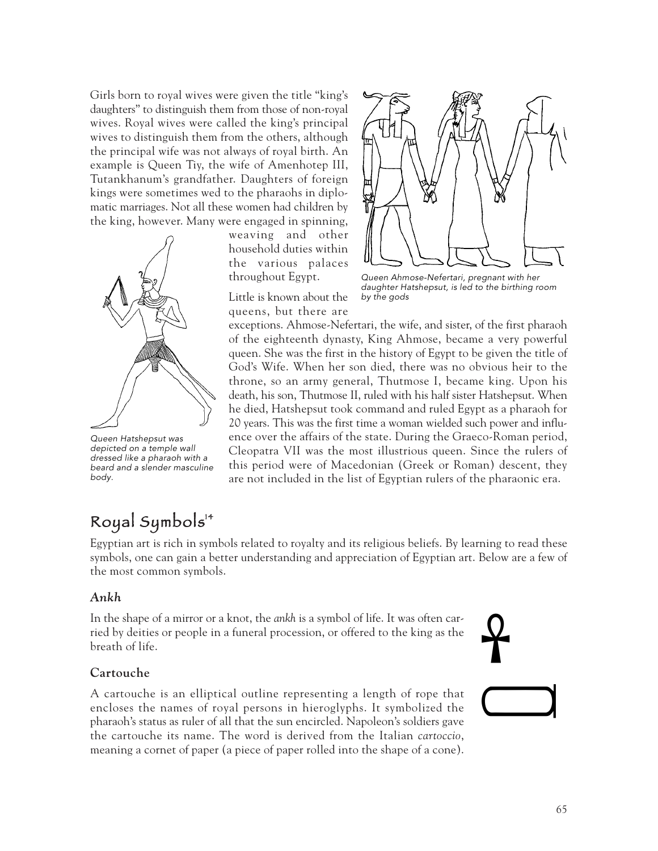Girls born to royal wives were given the title "king's daughters" to distinguish them from those of non-royal wives. Royal wives were called the king's principal wives to distinguish them from the others, although the principal wife was not always of royal birth. An example is Queen Tiy, the wife of Amenhotep III, Tutankhanum's grandfather. Daughters of foreign kings were sometimes wed to the pharaohs in diplomatic marriages. Not all these women had children by the king, however. Many were engaged in spinning,



Queen Hatshepsut was depicted on a temple wall dressed like a pharaoh with a beard and a slender masculine body.

weaving and other household duties within the various palaces throughout Egypt.

Little is known about the queens, but there are



Queen Ahmose-Nefertari, pregnant with her daughter Hatshepsut, is led to the birthing room by the gods

exceptions. Ahmose-Nefertari, the wife, and sister, of the first pharaoh of the eighteenth dynasty, King Ahmose, became a very powerful queen. She was the first in the history of Egypt to be given the title of God's Wife. When her son died, there was no obvious heir to the throne, so an army general, Thutmose I, became king. Upon his death, his son, Thutmose II, ruled with his half sister Hatshepsut. When he died, Hatshepsut took command and ruled Egypt as a pharaoh for 20 years. This was the first time a woman wielded such power and influence over the affairs of the state. During the Graeco-Roman period, Cleopatra VII was the most illustrious queen. Since the rulers of this period were of Macedonian (Greek or Roman) descent, they are not included in the list of Egyptian rulers of the pharaonic era.

#### Royal Symbols 14

Egyptian art is rich in symbols related to royalty and its religious beliefs. By learning to read these symbols, one can gain a better understanding and appreciation of Egyptian art. Below are a few of the most common symbols.

#### *Ankh*

In the shape of a mirror or a knot, the *ankh* is a symbol of life. It was often carried by deities or people in a funeral procession, or offered to the king as the breath of life.

## $\mathbf{P}$  $\qquad \qquad \Box$

#### **Cartouche**

A cartouche is an elliptical outline representing a length of rope that encloses the names of royal persons in hieroglyphs. It symbolized the pharaoh's status as ruler of all that the sun encircled. Napoleon's soldiers gave the cartouche its name. The word is derived from the Italian *cartoccio*, meaning a cornet of paper (a piece of paper rolled into the shape of a cone).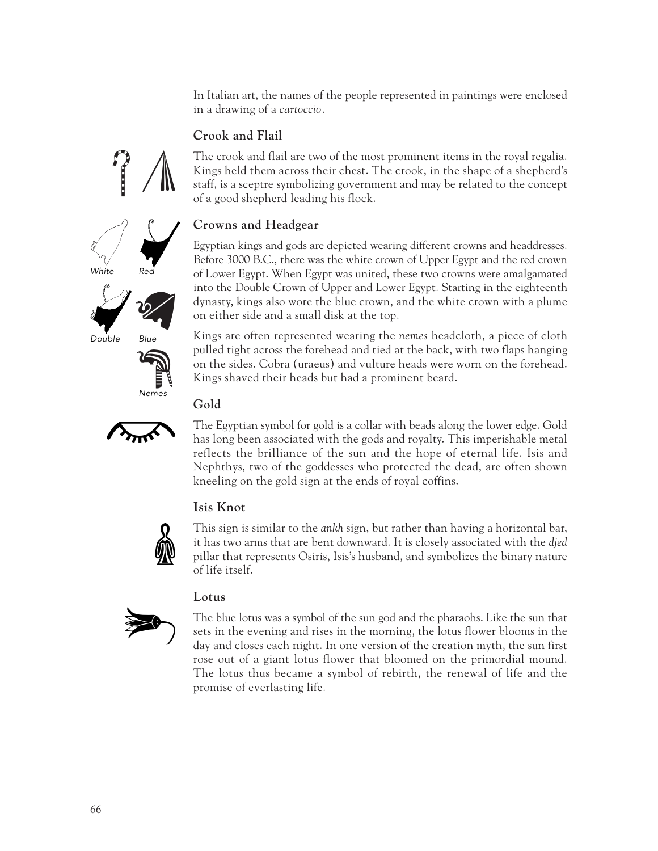In Italian art, the names of the people represented in paintings were enclosed in a drawing of a *cartoccio.* 

#### **Crook and Flail**

The crook and flail are two of the most prominent items in the royal regalia. Kings held them across their chest. The crook, in the shape of a shepherd's staff, is a sceptre symbolizing government and may be related to the concept of a good shepherd leading his flock.

#### **Crowns and Headgear**

Egyptian kings and gods are depicted wearing different crowns and headdresses. Before 3000 B.C., there was the white crown of Upper Egypt and the red crown of Lower Egypt. When Egypt was united, these two crowns were amalgamated into the Double Crown of Upper and Lower Egypt. Starting in the eighteenth dynasty, kings also wore the blue crown, and the white crown with a plume on either side and a small disk at the top.

Kings are often represented wearing the *nemes* headcloth, a piece of cloth pulled tight across the forehead and tied at the back, with two flaps hanging on the sides. Cobra (uraeus) and vulture heads were worn on the forehead. Kings shaved their heads but had a prominent beard.

**Gold**

The Egyptian symbol for gold is a collar with beads along the lower edge. Gold has long been associated with the gods and royalty. This imperishable metal reflects the brilliance of the sun and the hope of eternal life. Isis and Nephthys, two of the goddesses who protected the dead, are often shown kneeling on the gold sign at the ends of royal coffins.

#### **Isis Knot**

This sign is similar to the *ankh* sign, but rather than having a horizontal bar, it has two arms that are bent downward. It is closely associated with the *djed* pillar that represents Osiris, Isis's husband, and symbolizes the binary nature of life itself.

#### **Lotus**

The blue lotus was a symbol of the sun god and the pharaohs. Like the sun that sets in the evening and rises in the morning, the lotus flower blooms in the day and closes each night. In one version of the creation myth, the sun first rose out of a giant lotus flower that bloomed on the primordial mound. The lotus thus became a symbol of rebirth, the renewal of life and the promise of everlasting life.







Double Blue





 $\mathbb{R}$ 

 $\left\langle \right\rangle$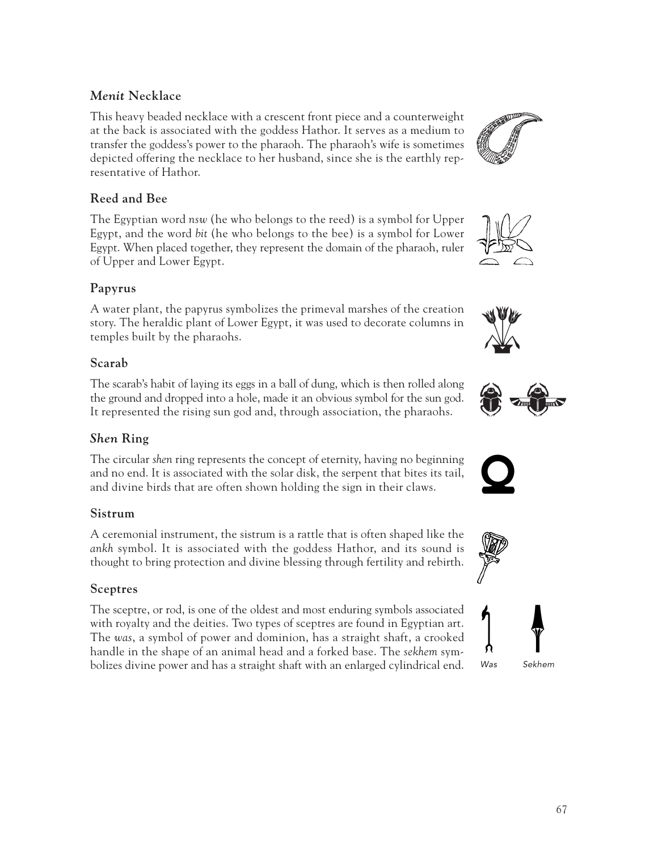#### *Menit* **Necklace**

This heavy beaded necklace with a crescent front piece and a counterweight at the back is associated with the goddess Hathor. It serves as a medium to transfer the goddess's power to the pharaoh. The pharaoh's wife is sometimes depicted offering the necklace to her husband, since she is the earthly representative of Hathor.

#### **Reed and Bee**

The Egyptian word *nsw* (he who belongs to the reed) is a symbol for Upper Egypt, and the word *bit* (he who belongs to the bee) is a symbol for Lower Egypt. When placed together, they represent the domain of the pharaoh, ruler of Upper and Lower Egypt.

#### **Papyrus**

A water plant, the papyrus symbolizes the primeval marshes of the creation story. The heraldic plant of Lower Egypt, it was used to decorate columns in temples built by the pharaohs.

#### **Scarab**

The scarab's habit of laying its eggs in a ball of dung, which is then rolled along the ground and dropped into a hole, made it an obvious symbol for the sun god. It represented the rising sun god and, through association, the pharaohs.

#### *Shen* **Ring**

The circular *shen* ring represents the concept of eternity, having no beginning and no end. It is associated with the solar disk, the serpent that bites its tail, and divine birds that are often shown holding the sign in their claws.

#### **Sistrum**

A ceremonial instrument, the sistrum is a rattle that is often shaped like the *ankh* symbol. It is associated with the goddess Hathor, and its sound is thought to bring protection and divine blessing through fertility and rebirth.

#### **Sceptres**

The sceptre, or rod, is one of the oldest and most enduring symbols associated with royalty and the deities. Two types of sceptres are found in Egyptian art. The *was*, a symbol of power and dominion, has a straight shaft, a crooked handle in the shape of an animal head and a forked base. The *sekhem* symbolizes divine power and has a straight shaft with an enlarged cylindrical end.